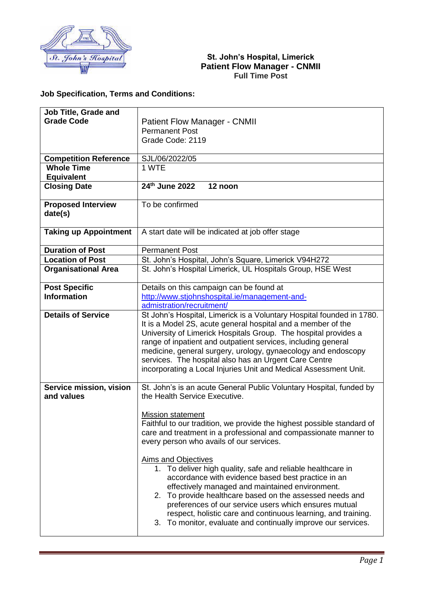

## **St. John's Hospital, Limerick Patient Flow Manager - CNMII Full Time Post**

## **Job Specification, Terms and Conditions:**

| Job Title, Grade and         |                                                                                           |
|------------------------------|-------------------------------------------------------------------------------------------|
| <b>Grade Code</b>            | <b>Patient Flow Manager - CNMII</b>                                                       |
|                              | <b>Permanent Post</b>                                                                     |
|                              | Grade Code: 2119                                                                          |
|                              |                                                                                           |
| <b>Competition Reference</b> | SJL/06/2022/05                                                                            |
| <b>Whole Time</b>            | 1 WTE                                                                                     |
| <b>Equivalent</b>            |                                                                                           |
| <b>Closing Date</b>          | 24th June 2022<br>12 noon                                                                 |
|                              |                                                                                           |
| <b>Proposed Interview</b>    | To be confirmed                                                                           |
| date(s)                      |                                                                                           |
|                              |                                                                                           |
| <b>Taking up Appointment</b> | A start date will be indicated at job offer stage                                         |
|                              |                                                                                           |
| <b>Duration of Post</b>      | <b>Permanent Post</b>                                                                     |
| <b>Location of Post</b>      | St. John's Hospital, John's Square, Limerick V94H272                                      |
| <b>Organisational Area</b>   | St. John's Hospital Limerick, UL Hospitals Group, HSE West                                |
|                              |                                                                                           |
| <b>Post Specific</b>         | Details on this campaign can be found at                                                  |
| <b>Information</b>           | http://www.stjohnshospital.ie/management-and-                                             |
|                              | admistration/recruitment/                                                                 |
| <b>Details of Service</b>    | St John's Hospital, Limerick is a Voluntary Hospital founded in 1780.                     |
|                              | It is a Model 2S, acute general hospital and a member of the                              |
|                              | University of Limerick Hospitals Group. The hospital provides a                           |
|                              | range of inpatient and outpatient services, including general                             |
|                              | medicine, general surgery, urology, gynaecology and endoscopy                             |
|                              | services. The hospital also has an Urgent Care Centre                                     |
|                              | incorporating a Local Injuries Unit and Medical Assessment Unit.                          |
|                              |                                                                                           |
| Service mission, vision      | St. John's is an acute General Public Voluntary Hospital, funded by                       |
| and values                   | the Health Service Executive.                                                             |
|                              |                                                                                           |
|                              | <b>Mission statement</b>                                                                  |
|                              | Faithful to our tradition, we provide the highest possible standard of                    |
|                              | care and treatment in a professional and compassionate manner to                          |
|                              | every person who avails of our services.                                                  |
|                              |                                                                                           |
|                              | <b>Aims and Objectives</b><br>1. To deliver high quality, safe and reliable healthcare in |
|                              | accordance with evidence based best practice in an                                        |
|                              | effectively managed and maintained environment.                                           |
|                              | 2. To provide healthcare based on the assessed needs and                                  |
|                              | preferences of our service users which ensures mutual                                     |
|                              | respect, holistic care and continuous learning, and training.                             |
|                              | 3. To monitor, evaluate and continually improve our services.                             |
|                              |                                                                                           |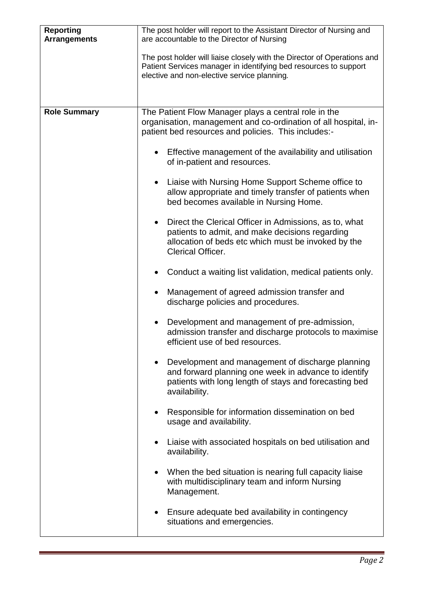| <b>Reporting</b><br><b>Arrangements</b> | The post holder will report to the Assistant Director of Nursing and<br>are accountable to the Director of Nursing<br>The post holder will liaise closely with the Director of Operations and<br>Patient Services manager in identifying bed resources to support<br>elective and non-elective service planning.                                                                                                                                                                                                                                                                                                                                                                                                                                                                                                                                                                                                                                                                                                                                                                                                                       |
|-----------------------------------------|----------------------------------------------------------------------------------------------------------------------------------------------------------------------------------------------------------------------------------------------------------------------------------------------------------------------------------------------------------------------------------------------------------------------------------------------------------------------------------------------------------------------------------------------------------------------------------------------------------------------------------------------------------------------------------------------------------------------------------------------------------------------------------------------------------------------------------------------------------------------------------------------------------------------------------------------------------------------------------------------------------------------------------------------------------------------------------------------------------------------------------------|
| <b>Role Summary</b>                     | The Patient Flow Manager plays a central role in the<br>organisation, management and co-ordination of all hospital, in-<br>patient bed resources and policies. This includes:-<br>Effective management of the availability and utilisation<br>of in-patient and resources.<br>Liaise with Nursing Home Support Scheme office to<br>allow appropriate and timely transfer of patients when<br>bed becomes available in Nursing Home.<br>Direct the Clerical Officer in Admissions, as to, what<br>$\bullet$<br>patients to admit, and make decisions regarding<br>allocation of beds etc which must be invoked by the<br><b>Clerical Officer.</b><br>Conduct a waiting list validation, medical patients only.<br>Management of agreed admission transfer and<br>discharge policies and procedures.<br>Development and management of pre-admission,<br>admission transfer and discharge protocols to maximise<br>efficient use of bed resources.<br>Development and management of discharge planning<br>and forward planning one week in advance to identify<br>patients with long length of stays and forecasting bed<br>availability. |
|                                         | Responsible for information dissemination on bed<br>usage and availability.<br>Liaise with associated hospitals on bed utilisation and<br>availability.<br>When the bed situation is nearing full capacity liaise<br>with multidisciplinary team and inform Nursing<br>Management.<br>Ensure adequate bed availability in contingency<br>situations and emergencies.                                                                                                                                                                                                                                                                                                                                                                                                                                                                                                                                                                                                                                                                                                                                                                   |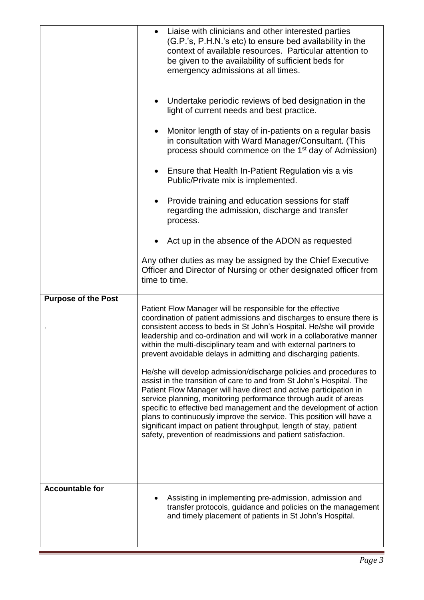|                            | Liaise with clinicians and other interested parties<br>(G.P.'s, P.H.N.'s etc) to ensure bed availability in the<br>context of available resources. Particular attention to<br>be given to the availability of sufficient beds for<br>emergency admissions at all times.                                                                                                                                                                                                                                                                                                                                                                                                                                                                                                                                                                                                                                                                                                                            |
|----------------------------|----------------------------------------------------------------------------------------------------------------------------------------------------------------------------------------------------------------------------------------------------------------------------------------------------------------------------------------------------------------------------------------------------------------------------------------------------------------------------------------------------------------------------------------------------------------------------------------------------------------------------------------------------------------------------------------------------------------------------------------------------------------------------------------------------------------------------------------------------------------------------------------------------------------------------------------------------------------------------------------------------|
|                            | Undertake periodic reviews of bed designation in the<br>light of current needs and best practice.                                                                                                                                                                                                                                                                                                                                                                                                                                                                                                                                                                                                                                                                                                                                                                                                                                                                                                  |
|                            | Monitor length of stay of in-patients on a regular basis<br>in consultation with Ward Manager/Consultant. (This<br>process should commence on the 1 <sup>st</sup> day of Admission)                                                                                                                                                                                                                                                                                                                                                                                                                                                                                                                                                                                                                                                                                                                                                                                                                |
|                            | Ensure that Health In-Patient Regulation vis a vis<br>Public/Private mix is implemented.                                                                                                                                                                                                                                                                                                                                                                                                                                                                                                                                                                                                                                                                                                                                                                                                                                                                                                           |
|                            | Provide training and education sessions for staff<br>regarding the admission, discharge and transfer<br>process.                                                                                                                                                                                                                                                                                                                                                                                                                                                                                                                                                                                                                                                                                                                                                                                                                                                                                   |
|                            | • Act up in the absence of the ADON as requested                                                                                                                                                                                                                                                                                                                                                                                                                                                                                                                                                                                                                                                                                                                                                                                                                                                                                                                                                   |
|                            | Any other duties as may be assigned by the Chief Executive<br>Officer and Director of Nursing or other designated officer from<br>time to time.                                                                                                                                                                                                                                                                                                                                                                                                                                                                                                                                                                                                                                                                                                                                                                                                                                                    |
| <b>Purpose of the Post</b> | Patient Flow Manager will be responsible for the effective<br>coordination of patient admissions and discharges to ensure there is<br>consistent access to beds in St John's Hospital. He/she will provide<br>leadership and co-ordination and will work in a collaborative manner<br>within the multi-disciplinary team and with external partners to<br>prevent avoidable delays in admitting and discharging patients.<br>He/she will develop admission/discharge policies and procedures to<br>assist in the transition of care to and from St John's Hospital. The<br>Patient Flow Manager will have direct and active participation in<br>service planning, monitoring performance through audit of areas<br>specific to effective bed management and the development of action<br>plans to continuously improve the service. This position will have a<br>significant impact on patient throughput, length of stay, patient<br>safety, prevention of readmissions and patient satisfaction. |
| <b>Accountable for</b>     | Assisting in implementing pre-admission, admission and<br>transfer protocols, guidance and policies on the management<br>and timely placement of patients in St John's Hospital.                                                                                                                                                                                                                                                                                                                                                                                                                                                                                                                                                                                                                                                                                                                                                                                                                   |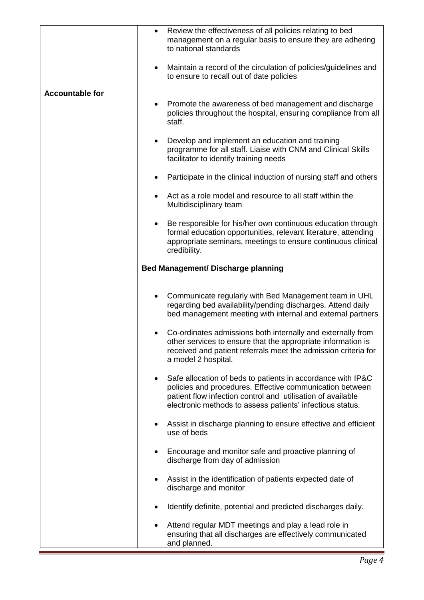|                        | Review the effectiveness of all policies relating to bed<br>management on a regular basis to ensure they are adhering<br>to national standards                                                                                                                   |
|------------------------|------------------------------------------------------------------------------------------------------------------------------------------------------------------------------------------------------------------------------------------------------------------|
|                        | Maintain a record of the circulation of policies/guidelines and<br>$\bullet$<br>to ensure to recall out of date policies                                                                                                                                         |
| <b>Accountable for</b> | Promote the awareness of bed management and discharge<br>policies throughout the hospital, ensuring compliance from all<br>staff.                                                                                                                                |
|                        | Develop and implement an education and training<br>programme for all staff. Liaise with CNM and Clinical Skills<br>facilitator to identify training needs                                                                                                        |
|                        | Participate in the clinical induction of nursing staff and others                                                                                                                                                                                                |
|                        | Act as a role model and resource to all staff within the<br>Multidisciplinary team                                                                                                                                                                               |
|                        | Be responsible for his/her own continuous education through<br>formal education opportunities, relevant literature, attending<br>appropriate seminars, meetings to ensure continuous clinical<br>credibility.                                                    |
|                        | <b>Bed Management/ Discharge planning</b>                                                                                                                                                                                                                        |
|                        | Communicate regularly with Bed Management team in UHL<br>regarding bed availability/pending discharges. Attend daily<br>bed management meeting with internal and external partners                                                                               |
|                        | Co-ordinates admissions both internally and externally from<br>other services to ensure that the appropriate information is<br>received and patient referrals meet the admission criteria for<br>a model 2 hospital.                                             |
|                        | Safe allocation of beds to patients in accordance with IP&C<br>$\bullet$<br>policies and procedures. Effective communication between<br>patient flow infection control and utilisation of available<br>electronic methods to assess patients' infectious status. |
|                        | Assist in discharge planning to ensure effective and efficient<br>use of beds                                                                                                                                                                                    |
|                        | Encourage and monitor safe and proactive planning of<br>discharge from day of admission                                                                                                                                                                          |
|                        | Assist in the identification of patients expected date of<br>discharge and monitor                                                                                                                                                                               |
|                        | Identify definite, potential and predicted discharges daily.                                                                                                                                                                                                     |
|                        | Attend regular MDT meetings and play a lead role in<br>ensuring that all discharges are effectively communicated<br>and planned.                                                                                                                                 |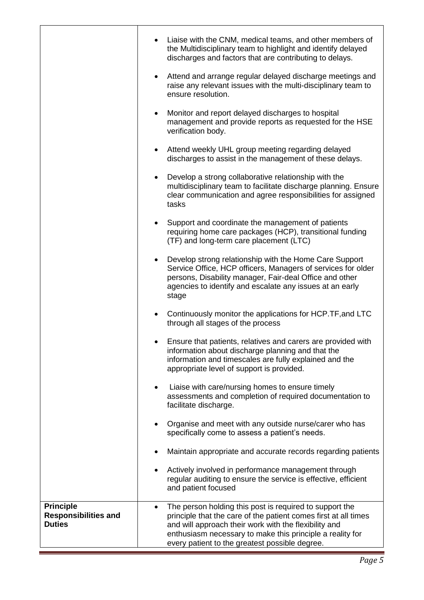|                                                                  | Liaise with the CNM, medical teams, and other members of<br>the Multidisciplinary team to highlight and identify delayed<br>discharges and factors that are contributing to delays.                                                                                                                |
|------------------------------------------------------------------|----------------------------------------------------------------------------------------------------------------------------------------------------------------------------------------------------------------------------------------------------------------------------------------------------|
|                                                                  | Attend and arrange regular delayed discharge meetings and<br>raise any relevant issues with the multi-disciplinary team to<br>ensure resolution.                                                                                                                                                   |
|                                                                  | Monitor and report delayed discharges to hospital<br>management and provide reports as requested for the HSE<br>verification body.                                                                                                                                                                 |
|                                                                  | Attend weekly UHL group meeting regarding delayed<br>discharges to assist in the management of these delays.                                                                                                                                                                                       |
|                                                                  | Develop a strong collaborative relationship with the<br>multidisciplinary team to facilitate discharge planning. Ensure<br>clear communication and agree responsibilities for assigned<br>tasks                                                                                                    |
|                                                                  | Support and coordinate the management of patients<br>requiring home care packages (HCP), transitional funding<br>(TF) and long-term care placement (LTC)                                                                                                                                           |
|                                                                  | Develop strong relationship with the Home Care Support<br>Service Office, HCP officers, Managers of services for older<br>persons, Disability manager, Fair-deal Office and other<br>agencies to identify and escalate any issues at an early<br>stage                                             |
|                                                                  | Continuously monitor the applications for HCP.TF, and LTC<br>through all stages of the process                                                                                                                                                                                                     |
|                                                                  | Ensure that patients, relatives and carers are provided with<br>information about discharge planning and that the<br>information and timescales are fully explained and the<br>appropriate level of support is provided.                                                                           |
|                                                                  | Liaise with care/nursing homes to ensure timely<br>assessments and completion of required documentation to<br>facilitate discharge.                                                                                                                                                                |
|                                                                  | Organise and meet with any outside nurse/carer who has<br>specifically come to assess a patient's needs.                                                                                                                                                                                           |
|                                                                  | Maintain appropriate and accurate records regarding patients                                                                                                                                                                                                                                       |
|                                                                  | Actively involved in performance management through<br>regular auditing to ensure the service is effective, efficient<br>and patient focused                                                                                                                                                       |
| <b>Principle</b><br><b>Responsibilities and</b><br><b>Duties</b> | The person holding this post is required to support the<br>principle that the care of the patient comes first at all times<br>and will approach their work with the flexibility and<br>enthusiasm necessary to make this principle a reality for<br>every patient to the greatest possible degree. |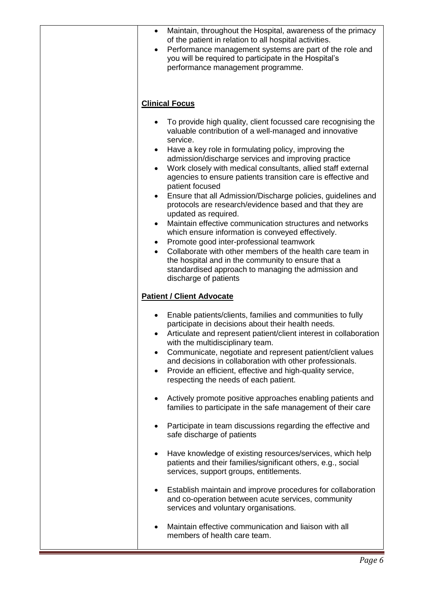| Maintain, throughout the Hospital, awareness of the primacy<br>of the patient in relation to all hospital activities.<br>Performance management systems are part of the role and<br>$\bullet$<br>you will be required to participate in the Hospital's<br>performance management programme.                                                                                                                                                                                                                                                                                                                                                                                                                                                                                                                                                                                                                                                        |
|----------------------------------------------------------------------------------------------------------------------------------------------------------------------------------------------------------------------------------------------------------------------------------------------------------------------------------------------------------------------------------------------------------------------------------------------------------------------------------------------------------------------------------------------------------------------------------------------------------------------------------------------------------------------------------------------------------------------------------------------------------------------------------------------------------------------------------------------------------------------------------------------------------------------------------------------------|
| <b>Clinical Focus</b>                                                                                                                                                                                                                                                                                                                                                                                                                                                                                                                                                                                                                                                                                                                                                                                                                                                                                                                              |
| To provide high quality, client focussed care recognising the<br>valuable contribution of a well-managed and innovative<br>service.<br>Have a key role in formulating policy, improving the<br>admission/discharge services and improving practice<br>Work closely with medical consultants, allied staff external<br>agencies to ensure patients transition care is effective and<br>patient focused<br>Ensure that all Admission/Discharge policies, guidelines and<br>protocols are research/evidence based and that they are<br>updated as required.<br>Maintain effective communication structures and networks<br>which ensure information is conveyed effectively.<br>Promote good inter-professional teamwork<br>$\bullet$<br>Collaborate with other members of the health care team in<br>$\bullet$<br>the hospital and in the community to ensure that a<br>standardised approach to managing the admission and<br>discharge of patients |
| <b>Patient / Client Advocate</b>                                                                                                                                                                                                                                                                                                                                                                                                                                                                                                                                                                                                                                                                                                                                                                                                                                                                                                                   |
| Enable patients/clients, families and communities to fully<br>٠<br>participate in decisions about their health needs.<br>Articulate and represent patient/client interest in collaboration<br>with the multidisciplinary team.<br>Communicate, negotiate and represent patient/client values<br>and decisions in collaboration with other professionals.<br>Provide an efficient, effective and high-quality service,<br>$\bullet$<br>respecting the needs of each patient.                                                                                                                                                                                                                                                                                                                                                                                                                                                                        |
| Actively promote positive approaches enabling patients and<br>families to participate in the safe management of their care                                                                                                                                                                                                                                                                                                                                                                                                                                                                                                                                                                                                                                                                                                                                                                                                                         |
| Participate in team discussions regarding the effective and<br>safe discharge of patients                                                                                                                                                                                                                                                                                                                                                                                                                                                                                                                                                                                                                                                                                                                                                                                                                                                          |
| Have knowledge of existing resources/services, which help<br>patients and their families/significant others, e.g., social<br>services, support groups, entitlements.                                                                                                                                                                                                                                                                                                                                                                                                                                                                                                                                                                                                                                                                                                                                                                               |
| Establish maintain and improve procedures for collaboration<br>$\bullet$<br>and co-operation between acute services, community<br>services and voluntary organisations.                                                                                                                                                                                                                                                                                                                                                                                                                                                                                                                                                                                                                                                                                                                                                                            |
| Maintain effective communication and liaison with all<br>members of health care team.                                                                                                                                                                                                                                                                                                                                                                                                                                                                                                                                                                                                                                                                                                                                                                                                                                                              |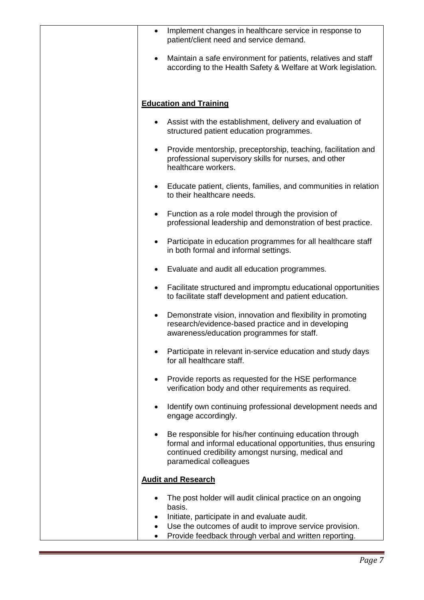|           | Implement changes in healthcare service in response to<br>patient/client need and service demand.                                                                                                       |
|-----------|---------------------------------------------------------------------------------------------------------------------------------------------------------------------------------------------------------|
|           | Maintain a safe environment for patients, relatives and staff<br>according to the Health Safety & Welfare at Work legislation.                                                                          |
|           | <b>Education and Training</b>                                                                                                                                                                           |
| $\bullet$ | Assist with the establishment, delivery and evaluation of<br>structured patient education programmes.                                                                                                   |
|           | Provide mentorship, preceptorship, teaching, facilitation and<br>professional supervisory skills for nurses, and other<br>healthcare workers.                                                           |
| $\bullet$ | Educate patient, clients, families, and communities in relation<br>to their healthcare needs.                                                                                                           |
| $\bullet$ | Function as a role model through the provision of<br>professional leadership and demonstration of best practice.                                                                                        |
| ٠         | Participate in education programmes for all healthcare staff<br>in both formal and informal settings.                                                                                                   |
|           | Evaluate and audit all education programmes.                                                                                                                                                            |
|           | Facilitate structured and impromptu educational opportunities<br>to facilitate staff development and patient education.                                                                                 |
| $\bullet$ | Demonstrate vision, innovation and flexibility in promoting<br>research/evidence-based practice and in developing<br>awareness/education programmes for staff.                                          |
|           | Participate in relevant in-service education and study days<br>for all healthcare staff.                                                                                                                |
|           | Provide reports as requested for the HSE performance<br>verification body and other requirements as required.                                                                                           |
|           | Identify own continuing professional development needs and<br>engage accordingly.                                                                                                                       |
|           | Be responsible for his/her continuing education through<br>formal and informal educational opportunities, thus ensuring<br>continued credibility amongst nursing, medical and<br>paramedical colleagues |
|           | <b>Audit and Research</b>                                                                                                                                                                               |
|           | The post holder will audit clinical practice on an ongoing<br>basis.                                                                                                                                    |
| $\bullet$ | Initiate, participate in and evaluate audit.<br>Use the outcomes of audit to improve service provision.                                                                                                 |
|           | Provide feedback through verbal and written reporting.                                                                                                                                                  |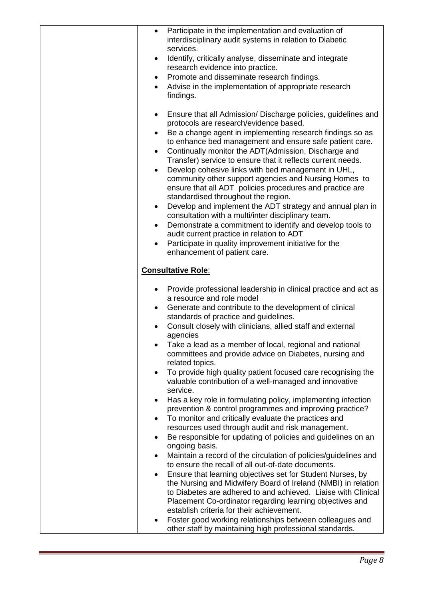| $\bullet$ | Participate in the implementation and evaluation of<br>interdisciplinary audit systems in relation to Diabetic<br>services.                              |
|-----------|----------------------------------------------------------------------------------------------------------------------------------------------------------|
| $\bullet$ | Identify, critically analyse, disseminate and integrate<br>research evidence into practice.                                                              |
| $\bullet$ | Promote and disseminate research findings.                                                                                                               |
|           | Advise in the implementation of appropriate research                                                                                                     |
|           | findings.                                                                                                                                                |
| $\bullet$ | Ensure that all Admission/Discharge policies, guidelines and<br>protocols are research/evidence based.                                                   |
| $\bullet$ | Be a change agent in implementing research findings so as                                                                                                |
|           | to enhance bed management and ensure safe patient care.                                                                                                  |
| $\bullet$ | Continually monitor the ADT (Admission, Discharge and                                                                                                    |
|           | Transfer) service to ensure that it reflects current needs.                                                                                              |
|           | Develop cohesive links with bed management in UHL,                                                                                                       |
|           | community other support agencies and Nursing Homes to<br>ensure that all ADT policies procedures and practice are<br>standardised throughout the region. |
| $\bullet$ | Develop and implement the ADT strategy and annual plan in                                                                                                |
|           | consultation with a multi/inter disciplinary team.                                                                                                       |
| $\bullet$ | Demonstrate a commitment to identify and develop tools to                                                                                                |
|           | audit current practice in relation to ADT                                                                                                                |
|           | Participate in quality improvement initiative for the                                                                                                    |
|           | enhancement of patient care.                                                                                                                             |
|           | <b>Consultative Role:</b>                                                                                                                                |
| $\bullet$ | Provide professional leadership in clinical practice and act as                                                                                          |
|           | a resource and role model                                                                                                                                |
| ٠         | Generate and contribute to the development of clinical<br>standards of practice and guidelines.                                                          |
|           | Consult closely with clinicians, allied staff and external                                                                                               |
|           | agencies                                                                                                                                                 |
|           | Take a lead as a member of local, regional and national                                                                                                  |
|           | committees and provide advice on Diabetes, nursing and<br>related topics.                                                                                |
| $\bullet$ | To provide high quality patient focused care recognising the                                                                                             |
|           | valuable contribution of a well-managed and innovative<br>service.                                                                                       |
| $\bullet$ | Has a key role in formulating policy, implementing infection                                                                                             |
|           | prevention & control programmes and improving practice?                                                                                                  |
|           | To monitor and critically evaluate the practices and                                                                                                     |
|           | resources used through audit and risk management.                                                                                                        |
| $\bullet$ | Be responsible for updating of policies and guidelines on an<br>ongoing basis.                                                                           |
| $\bullet$ | Maintain a record of the circulation of policies/guidelines and                                                                                          |
|           | to ensure the recall of all out-of-date documents.                                                                                                       |
|           | Ensure that learning objectives set for Student Nurses, by                                                                                               |
|           | the Nursing and Midwifery Board of Ireland (NMBI) in relation                                                                                            |
|           | to Diabetes are adhered to and achieved. Liaise with Clinical                                                                                            |
|           | Placement Co-ordinator regarding learning objectives and<br>establish criteria for their achievement.                                                    |
|           | Foster good working relationships between colleagues and                                                                                                 |
|           | other staff by maintaining high professional standards.                                                                                                  |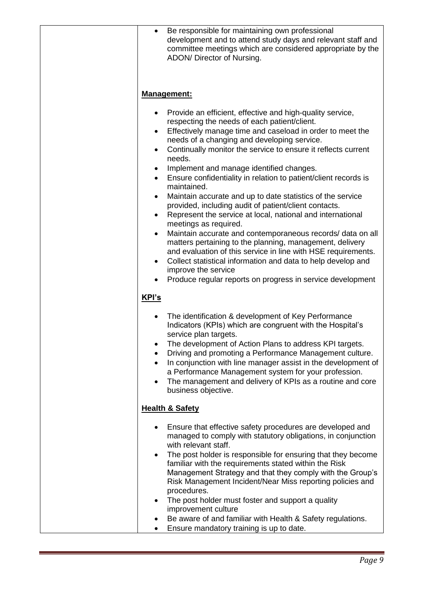| Be responsible for maintaining own professional<br>$\bullet$<br>development and to attend study days and relevant staff and<br>committee meetings which are considered appropriate by the<br>ADON/ Director of Nursing.                                                                                                                                                                                                                                                                                                                                                                                                                                                                                                                                                                                                                                                                                                                                                                                                                                                      |
|------------------------------------------------------------------------------------------------------------------------------------------------------------------------------------------------------------------------------------------------------------------------------------------------------------------------------------------------------------------------------------------------------------------------------------------------------------------------------------------------------------------------------------------------------------------------------------------------------------------------------------------------------------------------------------------------------------------------------------------------------------------------------------------------------------------------------------------------------------------------------------------------------------------------------------------------------------------------------------------------------------------------------------------------------------------------------|
| <b>Management:</b>                                                                                                                                                                                                                                                                                                                                                                                                                                                                                                                                                                                                                                                                                                                                                                                                                                                                                                                                                                                                                                                           |
| Provide an efficient, effective and high-quality service,<br>٠<br>respecting the needs of each patient/client.<br>Effectively manage time and caseload in order to meet the<br>needs of a changing and developing service.<br>Continually monitor the service to ensure it reflects current<br>$\bullet$<br>needs.<br>Implement and manage identified changes.<br>$\bullet$<br>Ensure confidentiality in relation to patient/client records is<br>$\bullet$<br>maintained.<br>Maintain accurate and up to date statistics of the service<br>٠<br>provided, including audit of patient/client contacts.<br>Represent the service at local, national and international<br>$\bullet$<br>meetings as required.<br>Maintain accurate and contemporaneous records/ data on all<br>$\bullet$<br>matters pertaining to the planning, management, delivery<br>and evaluation of this service in line with HSE requirements.<br>Collect statistical information and data to help develop and<br>٠<br>improve the service<br>Produce regular reports on progress in service development |
| KPI's                                                                                                                                                                                                                                                                                                                                                                                                                                                                                                                                                                                                                                                                                                                                                                                                                                                                                                                                                                                                                                                                        |
| The identification & development of Key Performance<br>٠<br>Indicators (KPIs) which are congruent with the Hospital's<br>service plan targets.<br>The development of Action Plans to address KPI targets.<br>Driving and promoting a Performance Management culture.<br>In conjunction with line manager assist in the development of<br>a Performance Management system for your profession.<br>The management and delivery of KPIs as a routine and core<br>$\bullet$<br>business objective.                                                                                                                                                                                                                                                                                                                                                                                                                                                                                                                                                                               |
| <b>Health &amp; Safety</b>                                                                                                                                                                                                                                                                                                                                                                                                                                                                                                                                                                                                                                                                                                                                                                                                                                                                                                                                                                                                                                                   |
| Ensure that effective safety procedures are developed and<br>managed to comply with statutory obligations, in conjunction<br>with relevant staff.<br>The post holder is responsible for ensuring that they become<br>$\bullet$<br>familiar with the requirements stated within the Risk<br>Management Strategy and that they comply with the Group's<br>Risk Management Incident/Near Miss reporting policies and<br>procedures.<br>The post holder must foster and support a quality<br>improvement culture<br>Be aware of and familiar with Health & Safety regulations.<br>$\bullet$<br>Ensure mandatory training is up to date.                                                                                                                                                                                                                                                                                                                                                                                                                                          |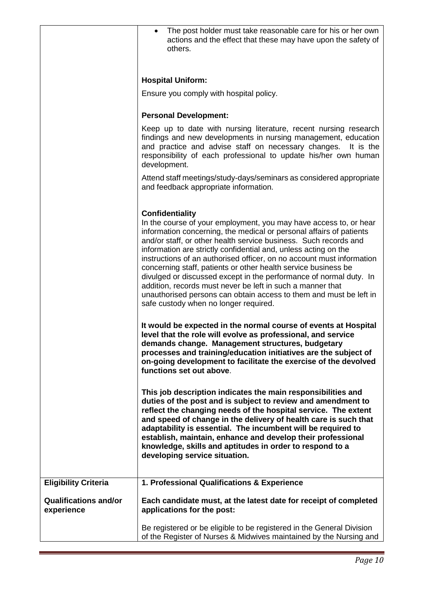|                                            | The post holder must take reasonable care for his or her own<br>actions and the effect that these may have upon the safety of<br>others.                                                                                                                                                                                                                                                                                                                                                                                                                                                                                                                                                                |
|--------------------------------------------|---------------------------------------------------------------------------------------------------------------------------------------------------------------------------------------------------------------------------------------------------------------------------------------------------------------------------------------------------------------------------------------------------------------------------------------------------------------------------------------------------------------------------------------------------------------------------------------------------------------------------------------------------------------------------------------------------------|
|                                            | <b>Hospital Uniform:</b>                                                                                                                                                                                                                                                                                                                                                                                                                                                                                                                                                                                                                                                                                |
|                                            | Ensure you comply with hospital policy.                                                                                                                                                                                                                                                                                                                                                                                                                                                                                                                                                                                                                                                                 |
|                                            | <b>Personal Development:</b>                                                                                                                                                                                                                                                                                                                                                                                                                                                                                                                                                                                                                                                                            |
|                                            | Keep up to date with nursing literature, recent nursing research<br>findings and new developments in nursing management, education<br>and practice and advise staff on necessary changes.<br>It is the<br>responsibility of each professional to update his/her own human<br>development.                                                                                                                                                                                                                                                                                                                                                                                                               |
|                                            | Attend staff meetings/study-days/seminars as considered appropriate<br>and feedback appropriate information.                                                                                                                                                                                                                                                                                                                                                                                                                                                                                                                                                                                            |
|                                            | <b>Confidentiality</b><br>In the course of your employment, you may have access to, or hear<br>information concerning, the medical or personal affairs of patients<br>and/or staff, or other health service business. Such records and<br>information are strictly confidential and, unless acting on the<br>instructions of an authorised officer, on no account must information<br>concerning staff, patients or other health service business be<br>divulged or discussed except in the performance of normal duty. In<br>addition, records must never be left in such a manner that<br>unauthorised persons can obtain access to them and must be left in<br>safe custody when no longer required. |
|                                            | It would be expected in the normal course of events at Hospital<br>level that the role will evolve as professional, and service<br>demands change. Management structures, budgetary<br>processes and training/education initiatives are the subject of<br>on-going development to facilitate the exercise of the devolved<br>functions set out above.                                                                                                                                                                                                                                                                                                                                                   |
|                                            | This job description indicates the main responsibilities and<br>duties of the post and is subject to review and amendment to<br>reflect the changing needs of the hospital service. The extent<br>and speed of change in the delivery of health care is such that<br>adaptability is essential. The incumbent will be required to<br>establish, maintain, enhance and develop their professional<br>knowledge, skills and aptitudes in order to respond to a<br>developing service situation.                                                                                                                                                                                                           |
| <b>Eligibility Criteria</b>                | 1. Professional Qualifications & Experience                                                                                                                                                                                                                                                                                                                                                                                                                                                                                                                                                                                                                                                             |
| <b>Qualifications and/or</b><br>experience | Each candidate must, at the latest date for receipt of completed<br>applications for the post:                                                                                                                                                                                                                                                                                                                                                                                                                                                                                                                                                                                                          |
|                                            | Be registered or be eligible to be registered in the General Division<br>of the Register of Nurses & Midwives maintained by the Nursing and                                                                                                                                                                                                                                                                                                                                                                                                                                                                                                                                                             |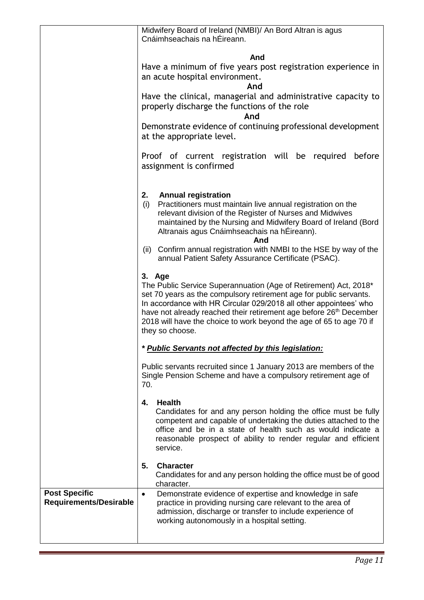|                                                       | Midwifery Board of Ireland (NMBI)/ An Bord Altran is agus<br>Cnáimhseachais na hÉireann.                                                                                                                                                                                                                                                                                                          |
|-------------------------------------------------------|---------------------------------------------------------------------------------------------------------------------------------------------------------------------------------------------------------------------------------------------------------------------------------------------------------------------------------------------------------------------------------------------------|
|                                                       |                                                                                                                                                                                                                                                                                                                                                                                                   |
|                                                       | And<br>Have a minimum of five years post registration experience in<br>an acute hospital environment.<br>And                                                                                                                                                                                                                                                                                      |
|                                                       | Have the clinical, managerial and administrative capacity to<br>properly discharge the functions of the role<br>And                                                                                                                                                                                                                                                                               |
|                                                       | Demonstrate evidence of continuing professional development<br>at the appropriate level.                                                                                                                                                                                                                                                                                                          |
|                                                       | Proof of current registration will be required<br>before<br>assignment is confirmed                                                                                                                                                                                                                                                                                                               |
|                                                       | 2.<br><b>Annual registration</b><br>Practitioners must maintain live annual registration on the<br>(i)<br>relevant division of the Register of Nurses and Midwives<br>maintained by the Nursing and Midwifery Board of Ireland (Bord<br>Altranais agus Cnáimhseachais na hÉireann).                                                                                                               |
|                                                       | And<br>(ii) Confirm annual registration with NMBI to the HSE by way of the<br>annual Patient Safety Assurance Certificate (PSAC).                                                                                                                                                                                                                                                                 |
|                                                       | 3. Age<br>The Public Service Superannuation (Age of Retirement) Act, 2018*<br>set 70 years as the compulsory retirement age for public servants.<br>In accordance with HR Circular 029/2018 all other appointees' who<br>have not already reached their retirement age before 26 <sup>th</sup> December<br>2018 will have the choice to work beyond the age of 65 to age 70 if<br>they so choose. |
|                                                       | * Public Servants not affected by this legislation:                                                                                                                                                                                                                                                                                                                                               |
|                                                       | Public servants recruited since 1 January 2013 are members of the<br>Single Pension Scheme and have a compulsory retirement age of<br>70.                                                                                                                                                                                                                                                         |
|                                                       | <b>Health</b><br>4.<br>Candidates for and any person holding the office must be fully<br>competent and capable of undertaking the duties attached to the<br>office and be in a state of health such as would indicate a<br>reasonable prospect of ability to render regular and efficient<br>service.                                                                                             |
|                                                       | <b>Character</b><br>5.<br>Candidates for and any person holding the office must be of good<br>character.                                                                                                                                                                                                                                                                                          |
| <b>Post Specific</b><br><b>Requirements/Desirable</b> | Demonstrate evidence of expertise and knowledge in safe<br>$\bullet$<br>practice in providing nursing care relevant to the area of<br>admission, discharge or transfer to include experience of<br>working autonomously in a hospital setting.                                                                                                                                                    |
|                                                       |                                                                                                                                                                                                                                                                                                                                                                                                   |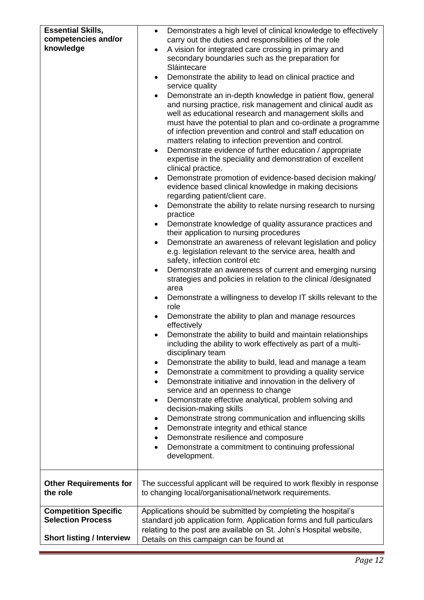| <b>Essential Skills,</b><br>competencies and/or<br>knowledge                                | Demonstrates a high level of clinical knowledge to effectively<br>$\bullet$<br>carry out the duties and responsibilities of the role<br>A vision for integrated care crossing in primary and<br>secondary boundaries such as the preparation for<br>Sláintecare<br>Demonstrate the ability to lead on clinical practice and<br>$\bullet$<br>service quality<br>Demonstrate an in-depth knowledge in patient flow, general<br>and nursing practice, risk management and clinical audit as<br>well as educational research and management skills and<br>must have the potential to plan and co-ordinate a programme<br>of infection prevention and control and staff education on<br>matters relating to infection prevention and control.<br>Demonstrate evidence of further education / appropriate<br>$\bullet$<br>expertise in the speciality and demonstration of excellent<br>clinical practice.<br>Demonstrate promotion of evidence-based decision making/<br>evidence based clinical knowledge in making decisions<br>regarding patient/client care.<br>Demonstrate the ability to relate nursing research to nursing<br>$\bullet$<br>practice<br>Demonstrate knowledge of quality assurance practices and<br>٠<br>their application to nursing procedures<br>Demonstrate an awareness of relevant legislation and policy<br>e.g. legislation relevant to the service area, health and<br>safety, infection control etc<br>Demonstrate an awareness of current and emerging nursing<br>$\bullet$<br>strategies and policies in relation to the clinical /designated<br>area<br>Demonstrate a willingness to develop IT skills relevant to the<br>role<br>Demonstrate the ability to plan and manage resources<br>$\bullet$<br>effectively<br>Demonstrate the ability to build and maintain relationships<br>including the ability to work effectively as part of a multi-<br>disciplinary team<br>Demonstrate the ability to build, lead and manage a team<br>٠<br>Demonstrate a commitment to providing a quality service<br>$\bullet$<br>Demonstrate initiative and innovation in the delivery of<br>$\bullet$<br>service and an openness to change<br>Demonstrate effective analytical, problem solving and<br>٠<br>decision-making skills<br>Demonstrate strong communication and influencing skills<br>٠<br>Demonstrate integrity and ethical stance<br>٠<br>Demonstrate resilience and composure<br>٠<br>Demonstrate a commitment to continuing professional<br>development. |
|---------------------------------------------------------------------------------------------|-------------------------------------------------------------------------------------------------------------------------------------------------------------------------------------------------------------------------------------------------------------------------------------------------------------------------------------------------------------------------------------------------------------------------------------------------------------------------------------------------------------------------------------------------------------------------------------------------------------------------------------------------------------------------------------------------------------------------------------------------------------------------------------------------------------------------------------------------------------------------------------------------------------------------------------------------------------------------------------------------------------------------------------------------------------------------------------------------------------------------------------------------------------------------------------------------------------------------------------------------------------------------------------------------------------------------------------------------------------------------------------------------------------------------------------------------------------------------------------------------------------------------------------------------------------------------------------------------------------------------------------------------------------------------------------------------------------------------------------------------------------------------------------------------------------------------------------------------------------------------------------------------------------------------------------------------------------------------------------------------------------------------------------------------------------------------------------------------------------------------------------------------------------------------------------------------------------------------------------------------------------------------------------------------------------------------------------------------------------------------------------------------------------------------------------------------------------------------------------------|
| <b>Other Requirements for</b><br>the role                                                   | The successful applicant will be required to work flexibly in response<br>to changing local/organisational/network requirements.                                                                                                                                                                                                                                                                                                                                                                                                                                                                                                                                                                                                                                                                                                                                                                                                                                                                                                                                                                                                                                                                                                                                                                                                                                                                                                                                                                                                                                                                                                                                                                                                                                                                                                                                                                                                                                                                                                                                                                                                                                                                                                                                                                                                                                                                                                                                                          |
| <b>Competition Specific</b><br><b>Selection Process</b><br><b>Short listing / Interview</b> | Applications should be submitted by completing the hospital's<br>standard job application form. Application forms and full particulars<br>relating to the post are available on St. John's Hospital website,<br>Details on this campaign can be found at                                                                                                                                                                                                                                                                                                                                                                                                                                                                                                                                                                                                                                                                                                                                                                                                                                                                                                                                                                                                                                                                                                                                                                                                                                                                                                                                                                                                                                                                                                                                                                                                                                                                                                                                                                                                                                                                                                                                                                                                                                                                                                                                                                                                                                  |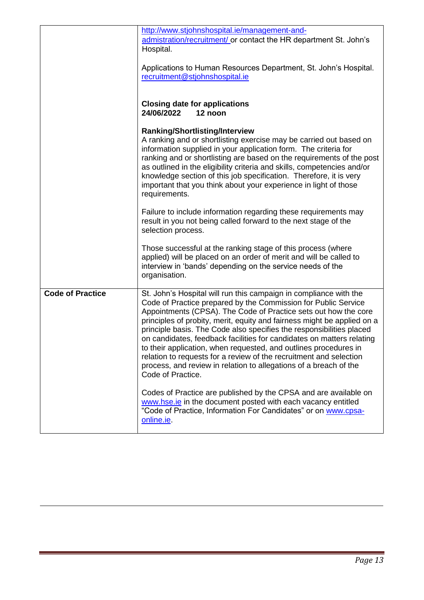|                         | http://www.stjohnshospital.ie/management-and-<br>admistration/recruitment/ or contact the HR department St. John's<br>Hospital.<br>Applications to Human Resources Department, St. John's Hospital.<br>recruitment@stjohnshospital.ie                                                                                                                                                                                                                                                                                                                                                                                                                                  |
|-------------------------|------------------------------------------------------------------------------------------------------------------------------------------------------------------------------------------------------------------------------------------------------------------------------------------------------------------------------------------------------------------------------------------------------------------------------------------------------------------------------------------------------------------------------------------------------------------------------------------------------------------------------------------------------------------------|
|                         | <b>Closing date for applications</b><br>24/06/2022<br>12 noon                                                                                                                                                                                                                                                                                                                                                                                                                                                                                                                                                                                                          |
|                         | <b>Ranking/Shortlisting/Interview</b><br>A ranking and or shortlisting exercise may be carried out based on<br>information supplied in your application form. The criteria for<br>ranking and or shortlisting are based on the requirements of the post<br>as outlined in the eligibility criteria and skills, competencies and/or<br>knowledge section of this job specification. Therefore, it is very<br>important that you think about your experience in light of those<br>requirements.                                                                                                                                                                          |
|                         | Failure to include information regarding these requirements may<br>result in you not being called forward to the next stage of the<br>selection process.                                                                                                                                                                                                                                                                                                                                                                                                                                                                                                               |
|                         | Those successful at the ranking stage of this process (where<br>applied) will be placed on an order of merit and will be called to<br>interview in 'bands' depending on the service needs of the<br>organisation.                                                                                                                                                                                                                                                                                                                                                                                                                                                      |
| <b>Code of Practice</b> | St. John's Hospital will run this campaign in compliance with the<br>Code of Practice prepared by the Commission for Public Service<br>Appointments (CPSA). The Code of Practice sets out how the core<br>principles of probity, merit, equity and fairness might be applied on a<br>principle basis. The Code also specifies the responsibilities placed<br>on candidates, feedback facilities for candidates on matters relating<br>to their application, when requested, and outlines procedures in<br>relation to requests for a review of the recruitment and selection<br>process, and review in relation to allegations of a breach of the<br>Code of Practice. |
|                         | Codes of Practice are published by the CPSA and are available on<br>www.hse.ie in the document posted with each vacancy entitled<br>"Code of Practice, Information For Candidates" or on www.cpsa-<br>online.ie                                                                                                                                                                                                                                                                                                                                                                                                                                                        |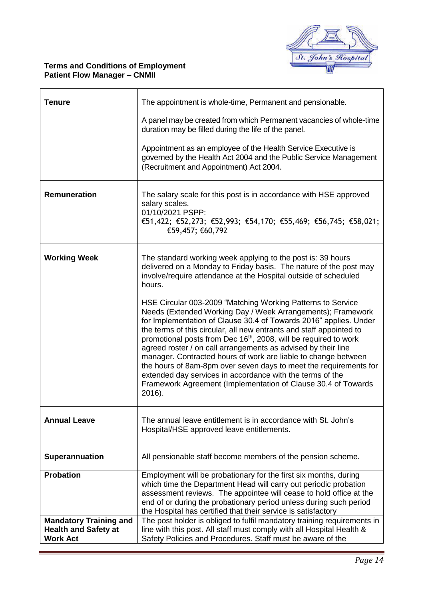

## **Terms and Conditions of Employment Patient Flow Manager – CNMII**

| <b>Tenure</b>                                                                   | The appointment is whole-time, Permanent and pensionable.<br>A panel may be created from which Permanent vacancies of whole-time<br>duration may be filled during the life of the panel.<br>Appointment as an employee of the Health Service Executive is<br>governed by the Health Act 2004 and the Public Service Management<br>(Recruitment and Appointment) Act 2004.                                                                                                                                                                                                                                                                                                                                                                                                                                                                                                                                               |
|---------------------------------------------------------------------------------|-------------------------------------------------------------------------------------------------------------------------------------------------------------------------------------------------------------------------------------------------------------------------------------------------------------------------------------------------------------------------------------------------------------------------------------------------------------------------------------------------------------------------------------------------------------------------------------------------------------------------------------------------------------------------------------------------------------------------------------------------------------------------------------------------------------------------------------------------------------------------------------------------------------------------|
| Remuneration                                                                    | The salary scale for this post is in accordance with HSE approved<br>salary scales.<br>01/10/2021 PSPP:<br>€51,422; €52,273; €52,993; €54,170; €55,469; €56,745; €58,021;<br>€59,457; €60,792                                                                                                                                                                                                                                                                                                                                                                                                                                                                                                                                                                                                                                                                                                                           |
| <b>Working Week</b>                                                             | The standard working week applying to the post is: 39 hours<br>delivered on a Monday to Friday basis. The nature of the post may<br>involve/require attendance at the Hospital outside of scheduled<br>hours.<br>HSE Circular 003-2009 "Matching Working Patterns to Service<br>Needs (Extended Working Day / Week Arrangements); Framework<br>for Implementation of Clause 30.4 of Towards 2016" applies. Under<br>the terms of this circular, all new entrants and staff appointed to<br>promotional posts from Dec 16 <sup>th</sup> , 2008, will be required to work<br>agreed roster / on call arrangements as advised by their line<br>manager. Contracted hours of work are liable to change between<br>the hours of 8am-8pm over seven days to meet the requirements for<br>extended day services in accordance with the terms of the<br>Framework Agreement (Implementation of Clause 30.4 of Towards<br>2016). |
| <b>Annual Leave</b>                                                             | The annual leave entitlement is in accordance with St. John's<br>Hospital/HSE approved leave entitlements.                                                                                                                                                                                                                                                                                                                                                                                                                                                                                                                                                                                                                                                                                                                                                                                                              |
| Superannuation                                                                  | All pensionable staff become members of the pension scheme.                                                                                                                                                                                                                                                                                                                                                                                                                                                                                                                                                                                                                                                                                                                                                                                                                                                             |
| <b>Probation</b>                                                                | Employment will be probationary for the first six months, during<br>which time the Department Head will carry out periodic probation<br>assessment reviews. The appointee will cease to hold office at the<br>end of or during the probationary period unless during such period<br>the Hospital has certified that their service is satisfactory                                                                                                                                                                                                                                                                                                                                                                                                                                                                                                                                                                       |
| <b>Mandatory Training and</b><br><b>Health and Safety at</b><br><b>Work Act</b> | The post holder is obliged to fulfil mandatory training requirements in<br>line with this post. All staff must comply with all Hospital Health &<br>Safety Policies and Procedures. Staff must be aware of the                                                                                                                                                                                                                                                                                                                                                                                                                                                                                                                                                                                                                                                                                                          |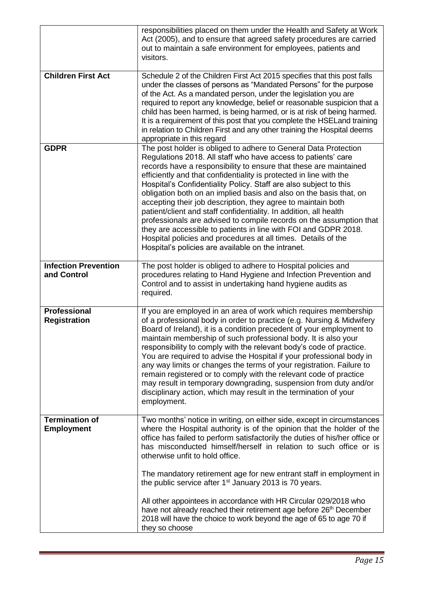|                                            | responsibilities placed on them under the Health and Safety at Work<br>Act (2005), and to ensure that agreed safety procedures are carried<br>out to maintain a safe environment for employees, patients and<br>visitors.                                                                                                                                                                                                                                                                                                                                                                                                                                                                                                                                                                                                    |
|--------------------------------------------|------------------------------------------------------------------------------------------------------------------------------------------------------------------------------------------------------------------------------------------------------------------------------------------------------------------------------------------------------------------------------------------------------------------------------------------------------------------------------------------------------------------------------------------------------------------------------------------------------------------------------------------------------------------------------------------------------------------------------------------------------------------------------------------------------------------------------|
| <b>Children First Act</b>                  | Schedule 2 of the Children First Act 2015 specifies that this post falls<br>under the classes of persons as "Mandated Persons" for the purpose<br>of the Act. As a mandated person, under the legislation you are<br>required to report any knowledge, belief or reasonable suspicion that a<br>child has been harmed, is being harmed, or is at risk of being harmed.<br>It is a requirement of this post that you complete the HSELand training<br>in relation to Children First and any other training the Hospital deems<br>appropriate in this regard                                                                                                                                                                                                                                                                   |
| <b>GDPR</b>                                | The post holder is obliged to adhere to General Data Protection<br>Regulations 2018. All staff who have access to patients' care<br>records have a responsibility to ensure that these are maintained<br>efficiently and that confidentiality is protected in line with the<br>Hospital's Confidentiality Policy. Staff are also subject to this<br>obligation both on an implied basis and also on the basis that, on<br>accepting their job description, they agree to maintain both<br>patient/client and staff confidentiality. In addition, all health<br>professionals are advised to compile records on the assumption that<br>they are accessible to patients in line with FOI and GDPR 2018.<br>Hospital policies and procedures at all times. Details of the<br>Hospital's policies are available on the intranet. |
| <b>Infection Prevention</b><br>and Control | The post holder is obliged to adhere to Hospital policies and<br>procedures relating to Hand Hygiene and Infection Prevention and<br>Control and to assist in undertaking hand hygiene audits as<br>required.                                                                                                                                                                                                                                                                                                                                                                                                                                                                                                                                                                                                                |
| <b>Professional</b><br><b>Registration</b> | If you are employed in an area of work which requires membership<br>of a professional body in order to practice (e.g. Nursing & Midwifery<br>Board of Ireland), it is a condition precedent of your employment to<br>maintain membership of such professional body. It is also your<br>responsibility to comply with the relevant body's code of practice.<br>You are required to advise the Hospital if your professional body in<br>any way limits or changes the terms of your registration. Failure to<br>remain registered or to comply with the relevant code of practice<br>may result in temporary downgrading, suspension from duty and/or<br>disciplinary action, which may result in the termination of your<br>employment.                                                                                       |
| <b>Termination of</b><br><b>Employment</b> | Two months' notice in writing, on either side, except in circumstances<br>where the Hospital authority is of the opinion that the holder of the<br>office has failed to perform satisfactorily the duties of his/her office or<br>has misconducted himself/herself in relation to such office or is<br>otherwise unfit to hold office.                                                                                                                                                                                                                                                                                                                                                                                                                                                                                       |
|                                            | The mandatory retirement age for new entrant staff in employment in<br>the public service after 1 <sup>st</sup> January 2013 is 70 years.<br>All other appointees in accordance with HR Circular 029/2018 who<br>have not already reached their retirement age before 26 <sup>th</sup> December<br>2018 will have the choice to work beyond the age of 65 to age 70 if<br>they so choose                                                                                                                                                                                                                                                                                                                                                                                                                                     |